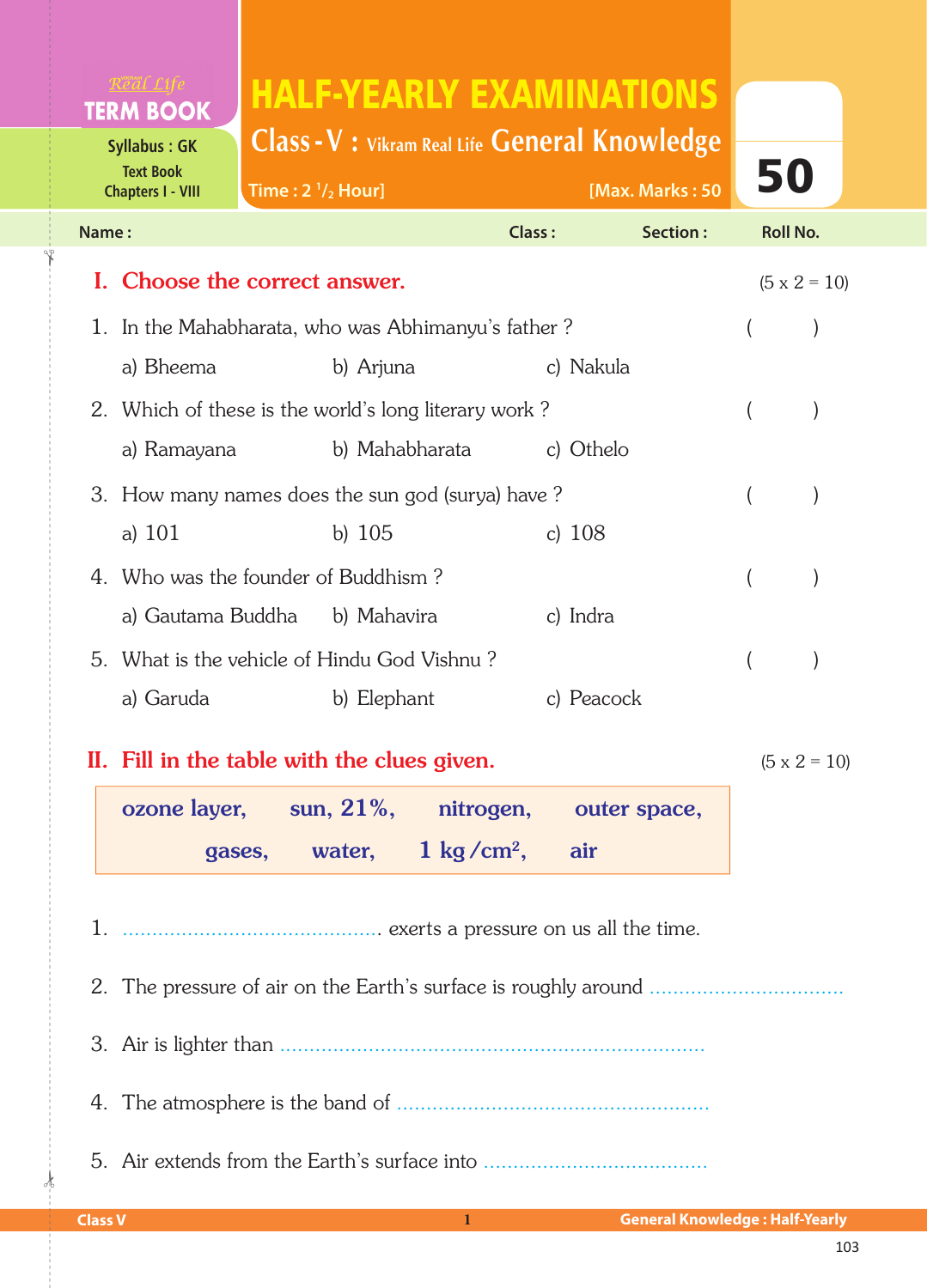# HALF-YEARLY EXAMINATIONS

**Class -V : Vikram Real Life General Knowledge**

| <b>Text Book</b><br><b>Chapters I - VIII</b> |                                                    | Time: $2 \frac{1}{2}$ Hour] |                                                      |                           | [Max. Marks: 50 | 50                  |                     |
|----------------------------------------------|----------------------------------------------------|-----------------------------|------------------------------------------------------|---------------------------|-----------------|---------------------|---------------------|
| Name:                                        |                                                    |                             |                                                      | <b>Class:</b><br>Section: |                 | <b>Roll No.</b>     |                     |
| I. Choose the correct answer.                |                                                    |                             |                                                      |                           |                 | $(5 \times 2 = 10)$ |                     |
|                                              | 1. In the Mahabharata, who was Abhimanyu's father? |                             |                                                      |                           |                 |                     |                     |
|                                              | a) Bheema                                          |                             | b) Arjuna                                            | c) Nakula                 |                 |                     |                     |
|                                              |                                                    |                             | 2. Which of these is the world's long literary work? |                           |                 |                     |                     |
|                                              | a) Ramayana                                        |                             | b) Mahabharata                                       | c) Othelo                 |                 |                     |                     |
|                                              | 3. How many names does the sun god (surya) have?   |                             |                                                      |                           |                 |                     |                     |
|                                              | a) $101$                                           |                             | b) $105$                                             | c) $108$                  |                 |                     |                     |
|                                              | 4. Who was the founder of Buddhism?                |                             |                                                      |                           |                 |                     |                     |
|                                              |                                                    |                             | a) Gautama Buddha b) Mahavira                        | c) Indra                  |                 |                     |                     |
|                                              |                                                    |                             | 5. What is the vehicle of Hindu God Vishnu?          |                           |                 |                     |                     |
|                                              | a) Garuda                                          |                             | b) Elephant                                          | c) Peacock                |                 |                     |                     |
|                                              |                                                    |                             | II. Fill in the table with the clues given.          |                           |                 |                     | $(5 \times 2 = 10)$ |

| ozone layer, sun, 21%, nitrogen, outer space, |                                  |  |
|-----------------------------------------------|----------------------------------|--|
| gases,                                        | water, $1 \text{ kg/cm}^2$ , air |  |

1. ............................................ exerts a pressure on us all the time.

2. The pressure of air on the EarthÊs surface is roughly around .................................

3. Air is lighter than ........................................................................

4. The atmosphere is the band of .....................................................

5. Air extends from the Earth's surface into ...................................

 $\frac{1}{2}$ 

**Syllabus : GK Text Book**

**TERM BOOK** 

✁